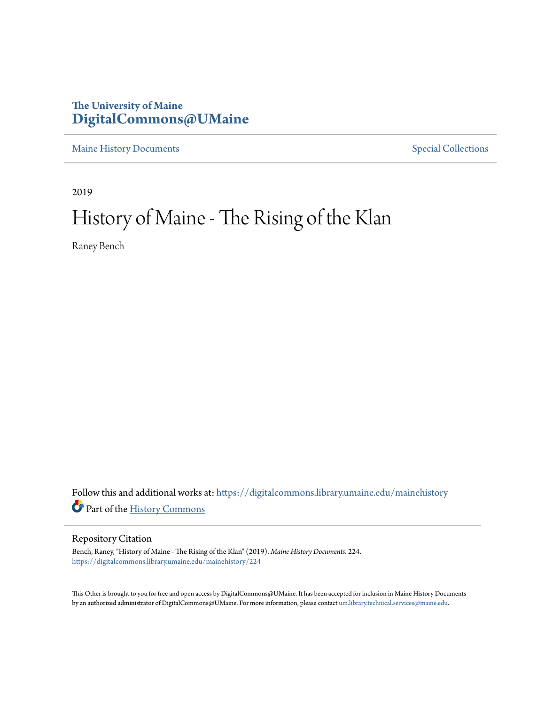# **The University of Maine [DigitalCommons@UMaine](https://digitalcommons.library.umaine.edu/?utm_source=digitalcommons.library.umaine.edu%2Fmainehistory%2F224&utm_medium=PDF&utm_campaign=PDFCoverPages)**

[Maine History Documents](https://digitalcommons.library.umaine.edu/mainehistory?utm_source=digitalcommons.library.umaine.edu%2Fmainehistory%2F224&utm_medium=PDF&utm_campaign=PDFCoverPages) **[Special Collections](https://digitalcommons.library.umaine.edu/specialcollections?utm_source=digitalcommons.library.umaine.edu%2Fmainehistory%2F224&utm_medium=PDF&utm_campaign=PDFCoverPages)** 

2019

# History of Maine - The Rising of the Klan

Raney Bench

Follow this and additional works at: [https://digitalcommons.library.umaine.edu/mainehistory](https://digitalcommons.library.umaine.edu/mainehistory?utm_source=digitalcommons.library.umaine.edu%2Fmainehistory%2F224&utm_medium=PDF&utm_campaign=PDFCoverPages) Part of the [History Commons](http://network.bepress.com/hgg/discipline/489?utm_source=digitalcommons.library.umaine.edu%2Fmainehistory%2F224&utm_medium=PDF&utm_campaign=PDFCoverPages)

#### Repository Citation

Bench, Raney, "History of Maine - The Rising of the Klan" (2019). *Maine History Documents*. 224. [https://digitalcommons.library.umaine.edu/mainehistory/224](https://digitalcommons.library.umaine.edu/mainehistory/224?utm_source=digitalcommons.library.umaine.edu%2Fmainehistory%2F224&utm_medium=PDF&utm_campaign=PDFCoverPages)

This Other is brought to you for free and open access by DigitalCommons@UMaine. It has been accepted for inclusion in Maine History Documents by an authorized administrator of DigitalCommons@UMaine. For more information, please contact [um.library.technical.services@maine.edu](mailto:um.library.technical.services@maine.edu).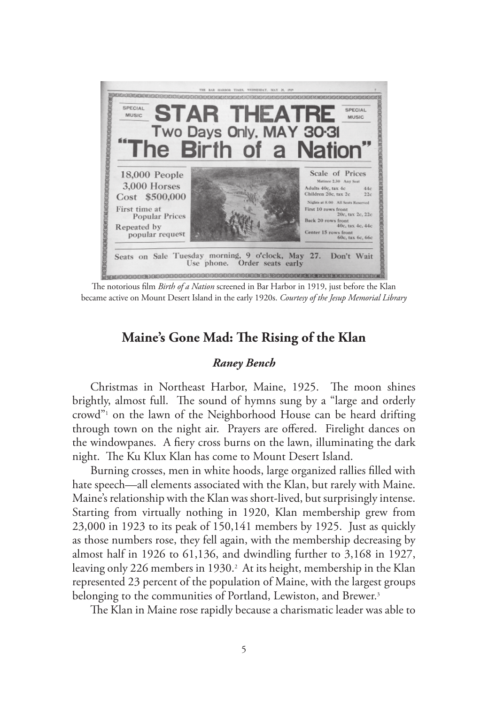

The notorious film *Birth of a Nation* screened in Bar Harbor in 1919, just before the Klan became active on Mount Desert Island in the early 1920s. *Courtesy of the Jesup Memorial Library*

# **Maine's Gone Mad: The Rising of the Klan**

### *Raney Bench*

Christmas in Northeast Harbor, Maine, 1925. The moon shines brightly, almost full. The sound of hymns sung by a "large and orderly crowd"<sup>1</sup> on the lawn of the Neighborhood House can be heard drifting through town on the night air. Prayers are offered. Firelight dances on the windowpanes. A fiery cross burns on the lawn, illuminating the dark night. The Ku Klux Klan has come to Mount Desert Island.

Burning crosses, men in white hoods, large organized rallies filled with hate speech—all elements associated with the Klan, but rarely with Maine. Maine's relationship with the Klan was short-lived, but surprisingly intense. Starting from virtually nothing in 1920, Klan membership grew from 23,000 in 1923 to its peak of 150,141 members by 1925. Just as quickly as those numbers rose, they fell again, with the membership decreasing by almost half in 1926 to 61,136, and dwindling further to 3,168 in 1927, leaving only 226 members in 1930.2 At its height, membership in the Klan represented 23 percent of the population of Maine, with the largest groups belonging to the communities of Portland, Lewiston, and Brewer.<sup>3</sup>

The Klan in Maine rose rapidly because a charismatic leader was able to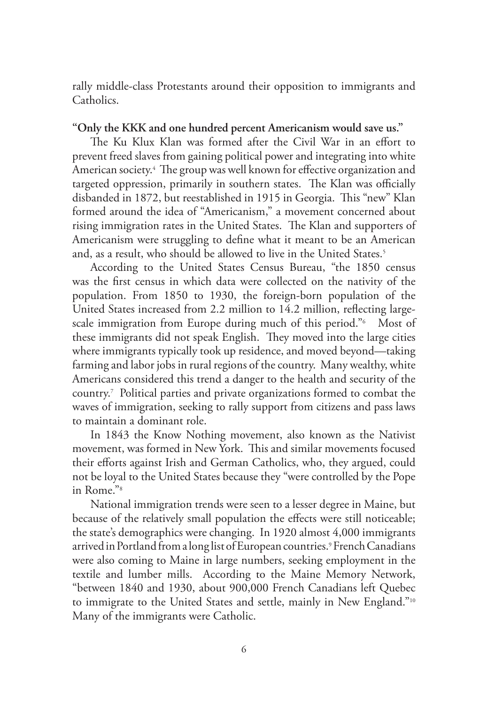rally middle-class Protestants around their opposition to immigrants and Catholics.

#### **"Only the KKK and one hundred percent Americanism would save us."**

The Ku Klux Klan was formed after the Civil War in an effort to prevent freed slaves from gaining political power and integrating into white American society.4 The group was well known for effective organization and targeted oppression, primarily in southern states. The Klan was officially disbanded in 1872, but reestablished in 1915 in Georgia. This "new" Klan formed around the idea of "Americanism," a movement concerned about rising immigration rates in the United States. The Klan and supporters of Americanism were struggling to define what it meant to be an American and, as a result, who should be allowed to live in the United States.<sup>5</sup>

According to the United States Census Bureau, "the 1850 census was the first census in which data were collected on the nativity of the population. From 1850 to 1930, the foreign-born population of the United States increased from 2.2 million to 14.2 million, reflecting largescale immigration from Europe during much of this period."6 Most of these immigrants did not speak English. They moved into the large cities where immigrants typically took up residence, and moved beyond—taking farming and labor jobs in rural regions of the country. Many wealthy, white Americans considered this trend a danger to the health and security of the country.7 Political parties and private organizations formed to combat the waves of immigration, seeking to rally support from citizens and pass laws to maintain a dominant role.

In 1843 the Know Nothing movement, also known as the Nativist movement, was formed in New York. This and similar movements focused their efforts against Irish and German Catholics, who, they argued, could not be loyal to the United States because they "were controlled by the Pope in Rome."8

National immigration trends were seen to a lesser degree in Maine, but because of the relatively small population the effects were still noticeable; the state's demographics were changing. In 1920 almost 4,000 immigrants arrived in Portland from a long list of European countries.9 French Canadians were also coming to Maine in large numbers, seeking employment in the textile and lumber mills. According to the Maine Memory Network, "between 1840 and 1930, about 900,000 French Canadians left Quebec to immigrate to the United States and settle, mainly in New England."10 Many of the immigrants were Catholic.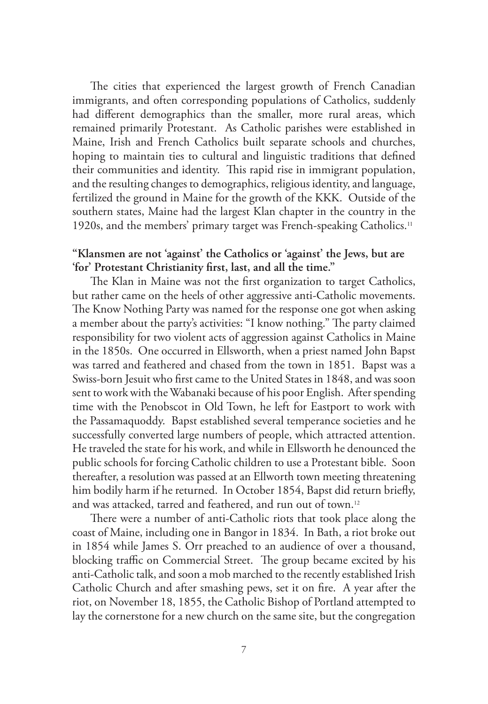The cities that experienced the largest growth of French Canadian immigrants, and often corresponding populations of Catholics, suddenly had different demographics than the smaller, more rural areas, which remained primarily Protestant. As Catholic parishes were established in Maine, Irish and French Catholics built separate schools and churches, hoping to maintain ties to cultural and linguistic traditions that defined their communities and identity. This rapid rise in immigrant population, and the resulting changes to demographics, religious identity, and language, fertilized the ground in Maine for the growth of the KKK. Outside of the southern states, Maine had the largest Klan chapter in the country in the 1920s, and the members' primary target was French-speaking Catholics.<sup>11</sup>

# **"Klansmen are not 'against' the Catholics or 'against' the Jews, but are 'for' Protestant Christianity first, last, and all the time."**

The Klan in Maine was not the first organization to target Catholics, but rather came on the heels of other aggressive anti-Catholic movements. The Know Nothing Party was named for the response one got when asking a member about the party's activities: "I know nothing." The party claimed responsibility for two violent acts of aggression against Catholics in Maine in the 1850s. One occurred in Ellsworth, when a priest named John Bapst was tarred and feathered and chased from the town in 1851. Bapst was a Swiss-born Jesuit who first came to the United States in 1848, and was soon sent to work with the Wabanaki because of his poor English. After spending time with the Penobscot in Old Town, he left for Eastport to work with the Passamaquoddy. Bapst established several temperance societies and he successfully converted large numbers of people, which attracted attention. He traveled the state for his work, and while in Ellsworth he denounced the public schools for forcing Catholic children to use a Protestant bible. Soon thereafter, a resolution was passed at an Ellworth town meeting threatening him bodily harm if he returned. In October 1854, Bapst did return briefly, and was attacked, tarred and feathered, and run out of town.12

There were a number of anti-Catholic riots that took place along the coast of Maine, including one in Bangor in 1834. In Bath, a riot broke out in 1854 while James S. Orr preached to an audience of over a thousand, blocking traffic on Commercial Street. The group became excited by his anti-Catholic talk, and soon a mob marched to the recently established Irish Catholic Church and after smashing pews, set it on fire. A year after the riot, on November 18, 1855, the Catholic Bishop of Portland attempted to lay the cornerstone for a new church on the same site, but the congregation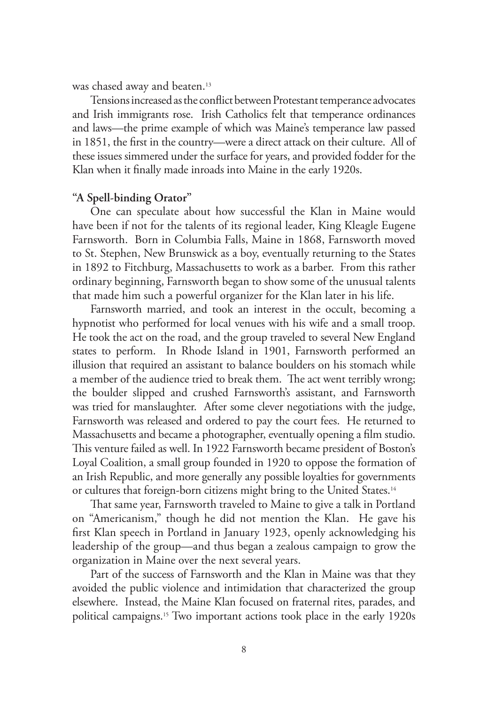was chased away and beaten.<sup>13</sup>

Tensions increased as the conflict between Protestant temperance advocates and Irish immigrants rose. Irish Catholics felt that temperance ordinances and laws—the prime example of which was Maine's temperance law passed in 1851, the first in the country—were a direct attack on their culture. All of these issues simmered under the surface for years, and provided fodder for the Klan when it finally made inroads into Maine in the early 1920s.

### **"A Spell-binding Orator"**

One can speculate about how successful the Klan in Maine would have been if not for the talents of its regional leader, King Kleagle Eugene Farnsworth. Born in Columbia Falls, Maine in 1868, Farnsworth moved to St. Stephen, New Brunswick as a boy, eventually returning to the States in 1892 to Fitchburg, Massachusetts to work as a barber. From this rather ordinary beginning, Farnsworth began to show some of the unusual talents that made him such a powerful organizer for the Klan later in his life.

Farnsworth married, and took an interest in the occult, becoming a hypnotist who performed for local venues with his wife and a small troop. He took the act on the road, and the group traveled to several New England states to perform. In Rhode Island in 1901, Farnsworth performed an illusion that required an assistant to balance boulders on his stomach while a member of the audience tried to break them. The act went terribly wrong; the boulder slipped and crushed Farnsworth's assistant, and Farnsworth was tried for manslaughter. After some clever negotiations with the judge, Farnsworth was released and ordered to pay the court fees. He returned to Massachusetts and became a photographer, eventually opening a film studio. This venture failed as well. In 1922 Farnsworth became president of Boston's Loyal Coalition, a small group founded in 1920 to oppose the formation of an Irish Republic, and more generally any possible loyalties for governments or cultures that foreign-born citizens might bring to the United States.14

That same year, Farnsworth traveled to Maine to give a talk in Portland on "Americanism," though he did not mention the Klan. He gave his first Klan speech in Portland in January 1923, openly acknowledging his leadership of the group—and thus began a zealous campaign to grow the organization in Maine over the next several years.

Part of the success of Farnsworth and the Klan in Maine was that they avoided the public violence and intimidation that characterized the group elsewhere. Instead, the Maine Klan focused on fraternal rites, parades, and political campaigns.15 Two important actions took place in the early 1920s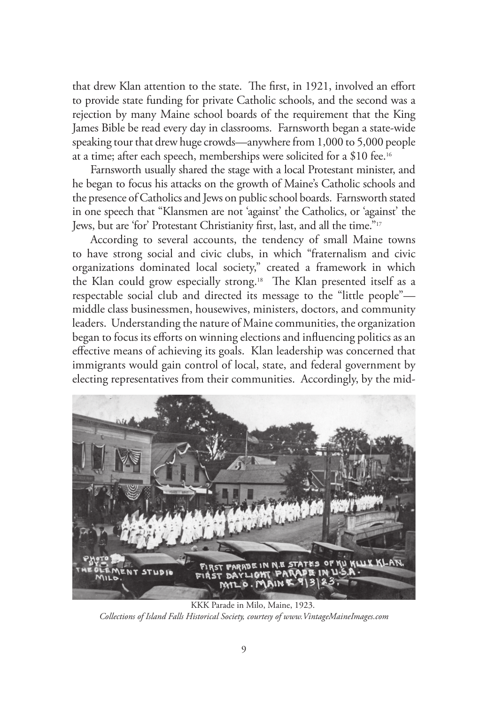that drew Klan attention to the state. The first, in 1921, involved an effort to provide state funding for private Catholic schools, and the second was a rejection by many Maine school boards of the requirement that the King James Bible be read every day in classrooms. Farnsworth began a state-wide speaking tour that drew huge crowds—anywhere from 1,000 to 5,000 people at a time; after each speech, memberships were solicited for a \$10 fee.16

Farnsworth usually shared the stage with a local Protestant minister, and he began to focus his attacks on the growth of Maine's Catholic schools and the presence of Catholics and Jews on public school boards. Farnsworth stated in one speech that "Klansmen are not 'against' the Catholics, or 'against' the Jews, but are 'for' Protestant Christianity first, last, and all the time."17

According to several accounts, the tendency of small Maine towns to have strong social and civic clubs, in which "fraternalism and civic organizations dominated local society," created a framework in which the Klan could grow especially strong.<sup>18</sup> The Klan presented itself as a respectable social club and directed its message to the "little people" middle class businessmen, housewives, ministers, doctors, and community leaders. Understanding the nature of Maine communities, the organization began to focus its efforts on winning elections and influencing politics as an effective means of achieving its goals. Klan leadership was concerned that immigrants would gain control of local, state, and federal government by electing representatives from their communities. Accordingly, by the mid-



KKK Parade in Milo, Maine, 1923. *Collections of Island Falls Historical Society, courtesy of www.VintageMaineImages.com*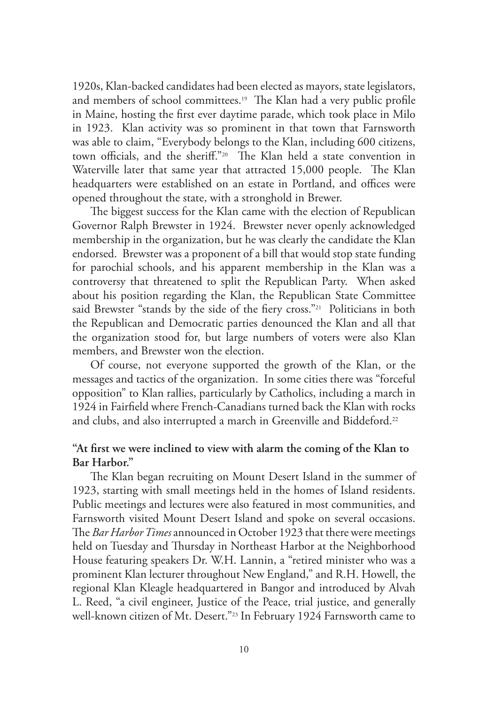1920s, Klan-backed candidates had been elected as mayors, state legislators, and members of school committees.<sup>19</sup> The Klan had a very public profile in Maine, hosting the first ever daytime parade, which took place in Milo in 1923. Klan activity was so prominent in that town that Farnsworth was able to claim, "Everybody belongs to the Klan, including 600 citizens, town officials, and the sheriff."20 The Klan held a state convention in Waterville later that same year that attracted 15,000 people. The Klan headquarters were established on an estate in Portland, and offices were opened throughout the state, with a stronghold in Brewer.

The biggest success for the Klan came with the election of Republican Governor Ralph Brewster in 1924. Brewster never openly acknowledged membership in the organization, but he was clearly the candidate the Klan endorsed. Brewster was a proponent of a bill that would stop state funding for parochial schools, and his apparent membership in the Klan was a controversy that threatened to split the Republican Party. When asked about his position regarding the Klan, the Republican State Committee said Brewster "stands by the side of the fiery cross."<sup>21</sup> Politicians in both the Republican and Democratic parties denounced the Klan and all that the organization stood for, but large numbers of voters were also Klan members, and Brewster won the election.

Of course, not everyone supported the growth of the Klan, or the messages and tactics of the organization. In some cities there was "forceful opposition" to Klan rallies, particularly by Catholics, including a march in 1924 in Fairfield where French-Canadians turned back the Klan with rocks and clubs, and also interrupted a march in Greenville and Biddeford.<sup>22</sup>

# **"At first we were inclined to view with alarm the coming of the Klan to Bar Harbor."**

The Klan began recruiting on Mount Desert Island in the summer of 1923, starting with small meetings held in the homes of Island residents. Public meetings and lectures were also featured in most communities, and Farnsworth visited Mount Desert Island and spoke on several occasions. The *Bar Harbor Times* announced in October 1923 that there were meetings held on Tuesday and Thursday in Northeast Harbor at the Neighborhood House featuring speakers Dr. W.H. Lannin, a "retired minister who was a prominent Klan lecturer throughout New England," and R.H. Howell, the regional Klan Kleagle headquartered in Bangor and introduced by Alvah L. Reed, "a civil engineer, Justice of the Peace, trial justice, and generally well-known citizen of Mt. Desert."<sup>23</sup> In February 1924 Farnsworth came to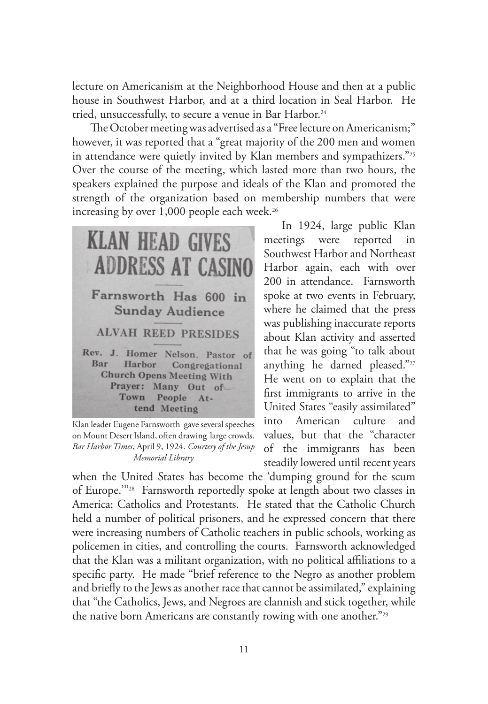lecture on Americanism at the Neighborhood House and then at a public house in Southwest Harbor, and at a third location in Seal Harbor. He tried, unsuccessfully, to secure a venue in Bar Harbor.24

The October meeting was advertised as a "Free lecture on Americanism;" however, it was reported that a "great majority of the 200 men and women in attendance were quietly invited by Klan members and sympathizers."25 Over the course of the meeting, which lasted more than two hours, the speakers explained the purpose and ideals of the Klan and promoted the strength of the organization based on membership numbers that were increasing by over  $1,000$  people each week.<sup>26</sup>



Klan leader Eugene Farnsworth gave several speeches on Mount Desert Island, often drawing large crowds. *Bar Harbor Times*, April 9, 1924. *Courtesy of the Jesup Memorial Library*

In 1924, large public Klan meetings were reported in Southwest Harbor and Northeast Harbor again, each with over 200 in attendance. Farnsworth spoke at two events in February, where he claimed that the press was publishing inaccurate reports about Klan activity and asserted that he was going "to talk about anything he darned pleased."27 He went on to explain that the first immigrants to arrive in the United States "easily assimilated" into American culture and values, but that the "character of the immigrants has been steadily lowered until recent years

when the United States has become the 'dumping ground for the scum of Europe.'"28 Farnsworth reportedly spoke at length about two classes in America: Catholics and Protestants. He stated that the Catholic Church held a number of political prisoners, and he expressed concern that there were increasing numbers of Catholic teachers in public schools, working as policemen in cities, and controlling the courts. Farnsworth acknowledged that the Klan was a militant organization, with no political affiliations to a specific party. He made "brief reference to the Negro as another problem and briefly to the Jews as another race that cannot be assimilated," explaining that "the Catholics, Jews, and Negroes are clannish and stick together, while the native born Americans are constantly rowing with one another."<sup>29</sup>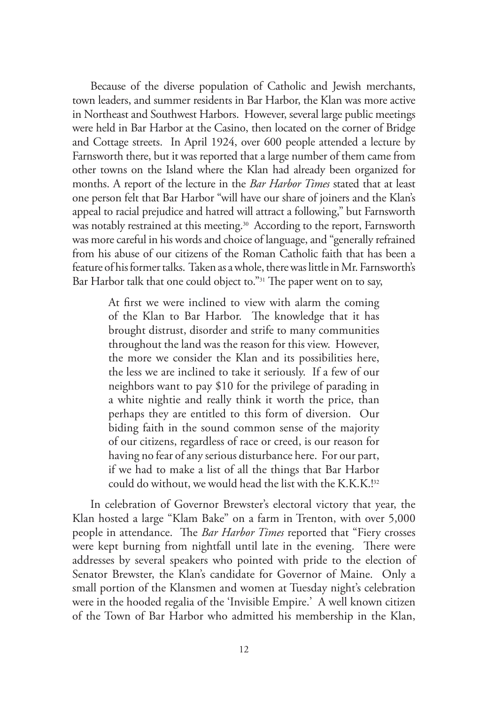Because of the diverse population of Catholic and Jewish merchants, town leaders, and summer residents in Bar Harbor, the Klan was more active in Northeast and Southwest Harbors. However, several large public meetings were held in Bar Harbor at the Casino, then located on the corner of Bridge and Cottage streets. In April 1924, over 600 people attended a lecture by Farnsworth there, but it was reported that a large number of them came from other towns on the Island where the Klan had already been organized for months. A report of the lecture in the *Bar Harbor Times* stated that at least one person felt that Bar Harbor "will have our share of joiners and the Klan's appeal to racial prejudice and hatred will attract a following," but Farnsworth was notably restrained at this meeting.<sup>30</sup> According to the report, Farnsworth was more careful in his words and choice of language, and "generally refrained from his abuse of our citizens of the Roman Catholic faith that has been a feature of his former talks. Taken as a whole, there was little in Mr. Farnsworth's Bar Harbor talk that one could object to."31 The paper went on to say,

> At first we were inclined to view with alarm the coming of the Klan to Bar Harbor. The knowledge that it has brought distrust, disorder and strife to many communities throughout the land was the reason for this view. However, the more we consider the Klan and its possibilities here, the less we are inclined to take it seriously. If a few of our neighbors want to pay \$10 for the privilege of parading in a white nightie and really think it worth the price, than perhaps they are entitled to this form of diversion. Our biding faith in the sound common sense of the majority of our citizens, regardless of race or creed, is our reason for having no fear of any serious disturbance here. For our part, if we had to make a list of all the things that Bar Harbor could do without, we would head the list with the K.K.K.!<sup>32</sup>

In celebration of Governor Brewster's electoral victory that year, the Klan hosted a large "Klam Bake" on a farm in Trenton, with over 5,000 people in attendance. The *Bar Harbor Times* reported that "Fiery crosses were kept burning from nightfall until late in the evening. There were addresses by several speakers who pointed with pride to the election of Senator Brewster, the Klan's candidate for Governor of Maine. Only a small portion of the Klansmen and women at Tuesday night's celebration were in the hooded regalia of the 'Invisible Empire.' A well known citizen of the Town of Bar Harbor who admitted his membership in the Klan,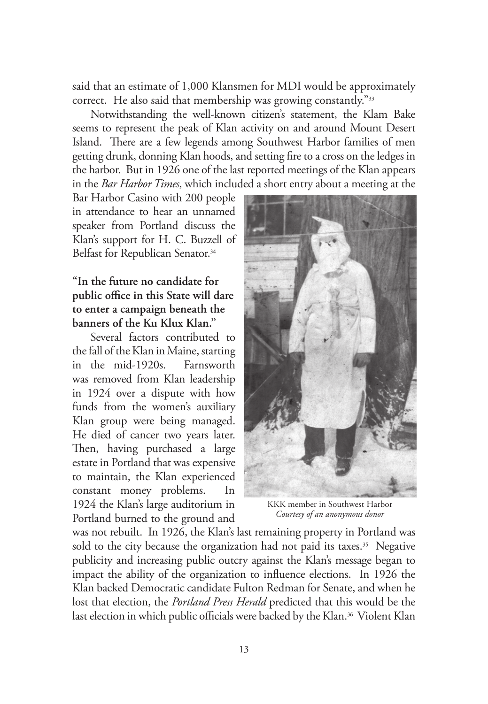said that an estimate of 1,000 Klansmen for MDI would be approximately correct. He also said that membership was growing constantly."33

Notwithstanding the well-known citizen's statement, the Klam Bake seems to represent the peak of Klan activity on and around Mount Desert Island. There are a few legends among Southwest Harbor families of men getting drunk, donning Klan hoods, and setting fire to a cross on the ledges in the harbor. But in 1926 one of the last reported meetings of the Klan appears in the *Bar Harbor Times*, which included a short entry about a meeting at the

Bar Harbor Casino with 200 people in attendance to hear an unnamed speaker from Portland discuss the Klan's support for H. C. Buzzell of Belfast for Republican Senator.<sup>34</sup>

# **"In the future no candidate for public office in this State will dare to enter a campaign beneath the banners of the Ku Klux Klan."**

Several factors contributed to the fall of the Klan in Maine, starting in the mid-1920s. Farnsworth was removed from Klan leadership in 1924 over a dispute with how funds from the women's auxiliary Klan group were being managed. He died of cancer two years later. Then, having purchased a large estate in Portland that was expensive to maintain, the Klan experienced constant money problems. In 1924 the Klan's large auditorium in Portland burned to the ground and



KKK member in Southwest Harbor *Courtesy of an anonymous donor*

was not rebuilt. In 1926, the Klan's last remaining property in Portland was sold to the city because the organization had not paid its taxes.<sup>35</sup> Negative publicity and increasing public outcry against the Klan's message began to impact the ability of the organization to influence elections. In 1926 the Klan backed Democratic candidate Fulton Redman for Senate, and when he lost that election, the *Portland Press Herald* predicted that this would be the last election in which public officials were backed by the Klan.<sup>36</sup> Violent Klan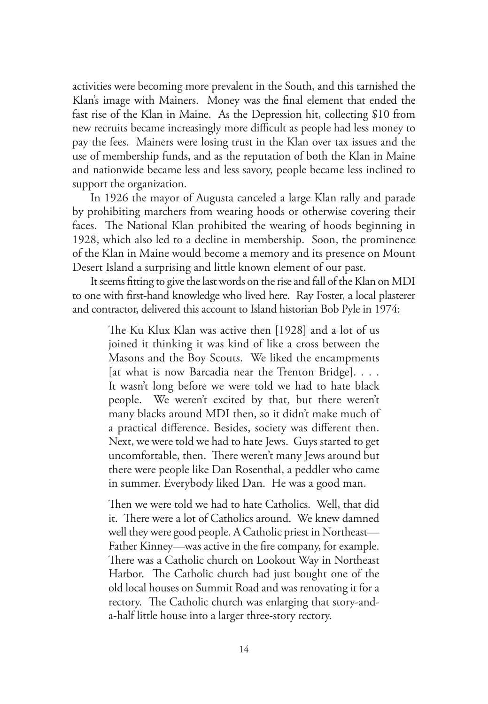activities were becoming more prevalent in the South, and this tarnished the Klan's image with Mainers. Money was the final element that ended the fast rise of the Klan in Maine. As the Depression hit, collecting \$10 from new recruits became increasingly more difficult as people had less money to pay the fees. Mainers were losing trust in the Klan over tax issues and the use of membership funds, and as the reputation of both the Klan in Maine and nationwide became less and less savory, people became less inclined to support the organization.

In 1926 the mayor of Augusta canceled a large Klan rally and parade by prohibiting marchers from wearing hoods or otherwise covering their faces. The National Klan prohibited the wearing of hoods beginning in 1928, which also led to a decline in membership. Soon, the prominence of the Klan in Maine would become a memory and its presence on Mount Desert Island a surprising and little known element of our past.

It seems fitting to give the last words on the rise and fall of the Klan on MDI to one with first-hand knowledge who lived here. Ray Foster, a local plasterer and contractor, delivered this account to Island historian Bob Pyle in 1974:

> The Ku Klux Klan was active then [1928] and a lot of us joined it thinking it was kind of like a cross between the Masons and the Boy Scouts. We liked the encampments [at what is now Barcadia near the Trenton Bridge]. . . . It wasn't long before we were told we had to hate black people. We weren't excited by that, but there weren't many blacks around MDI then, so it didn't make much of a practical difference. Besides, society was different then. Next, we were told we had to hate Jews. Guys started to get uncomfortable, then. There weren't many Jews around but there were people like Dan Rosenthal, a peddler who came in summer. Everybody liked Dan. He was a good man.

> Then we were told we had to hate Catholics. Well, that did it. There were a lot of Catholics around. We knew damned well they were good people. A Catholic priest in Northeast— Father Kinney—was active in the fire company, for example. There was a Catholic church on Lookout Way in Northeast Harbor. The Catholic church had just bought one of the old local houses on Summit Road and was renovating it for a rectory. The Catholic church was enlarging that story-anda-half little house into a larger three-story rectory.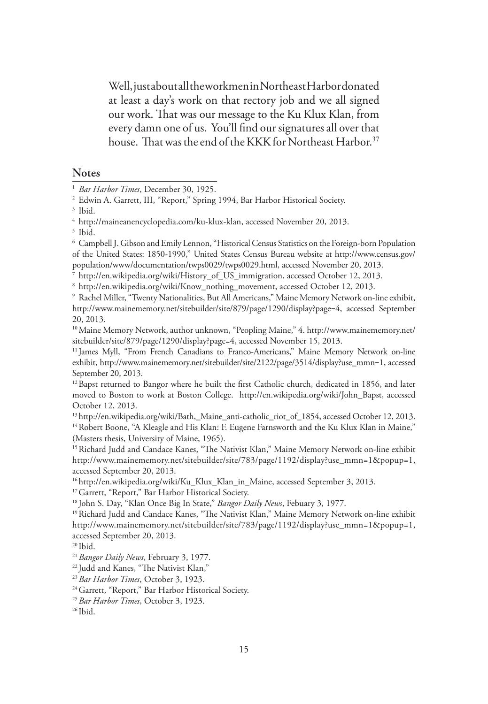Well, just about all the workmen in Northeast Harbor donated at least a day's work on that rectory job and we all signed our work. That was our message to the Ku Klux Klan, from every damn one of us. You'll find our signatures all over that house. That was the end of the KKK for Northeast Harbor.<sup>37</sup>

#### **Notes**

<sup>6</sup> Campbell J. Gibson and Emily Lennon, "Historical Census Statistics on the Foreign-born Population of the United States: 1850-1990," United States Census Bureau website at http://www.census.gov/ population/www/documentation/twps0029/twps0029.html, accessed November 20, 2013.

7 http://en.wikipedia.org/wiki/History\_of\_US\_immigration, accessed October 12, 2013.

8 http://en.wikipedia.org/wiki/Know\_nothing\_movement, accessed October 12, 2013.

<sup>9</sup> Rachel Miller, "Twenty Nationalities, But All Americans," Maine Memory Network on-line exhibit, http://www.mainememory.net/sitebuilder/site/879/page/1290/display?page=4, accessed September 20, 2013.

10Maine Memory Network, author unknown, "Peopling Maine," 4. http://www.mainememory.net/ sitebuilder/site/879/page/1290/display?page=4, accessed November 15, 2013.

<sup>11</sup> James Myll, "From French Canadians to Franco-Americans," Maine Memory Network on-line exhibit, http://www.mainememory.net/sitebuilder/site/2122/page/3514/display?use\_mmn=1, accessed September 20, 2013.

<sup>12</sup> Bapst returned to Bangor where he built the first Catholic church, dedicated in 1856, and later moved to Boston to work at Boston College. http://en.wikipedia.org/wiki/John\_Bapst, accessed October 12, 2013.

<sup>13</sup> http://en.wikipedia.org/wiki/Bath,\_Maine\_anti-catholic\_riot\_of\_1854, accessed October 12, 2013. <sup>14</sup> Robert Boone, "A Kleagle and His Klan: F. Eugene Farnsworth and the Ku Klux Klan in Maine," (Masters thesis, University of Maine, 1965).

<sup>15</sup> Richard Judd and Candace Kanes, "The Nativist Klan," Maine Memory Network on-line exhibit http://www.mainememory.net/sitebuilder/site/783/page/1192/display?use\_mmn=1&popup=1, accessed September 20, 2013.

<sup>16</sup> http://en.wikipedia.org/wiki/Ku\_Klux\_Klan\_in\_Maine, accessed September 3, 2013.

<sup>17</sup> Garrett, "Report," Bar Harbor Historical Society.

18 John S. Day, "Klan Once Big In State," *Bangor Daily News*, Febuary 3, 1977.

<sup>19</sup> Richard Judd and Candace Kanes, "The Nativist Klan," Maine Memory Network on-line exhibit http://www.mainememory.net/sitebuilder/site/783/page/1192/display?use\_mmn=1&popup=1, accessed September 20, 2013.

20 Ibid.

<sup>21</sup>*Bangor Daily News*, February 3, 1977.

<sup>22</sup> Judd and Kanes, "The Nativist Klan,"

<sup>23</sup> Bar Harbor Times, October 3, 1923.<br><sup>24</sup> Garrett, "Report," Bar Harbor Historical Society.

<sup>25</sup>*Bar Harbor Times*, October 3, 1923.

<sup>1</sup> *Bar Harbor Times*, December 30, 1925.

<sup>2</sup> Edwin A. Garrett, III, "Report," Spring 1994, Bar Harbor Historical Society.

<sup>3</sup> Ibid.

<sup>4</sup> http://maineanencyclopedia.com/ku-klux-klan, accessed November 20, 2013.

<sup>5</sup> Ibid.

 $26$  Ibid.